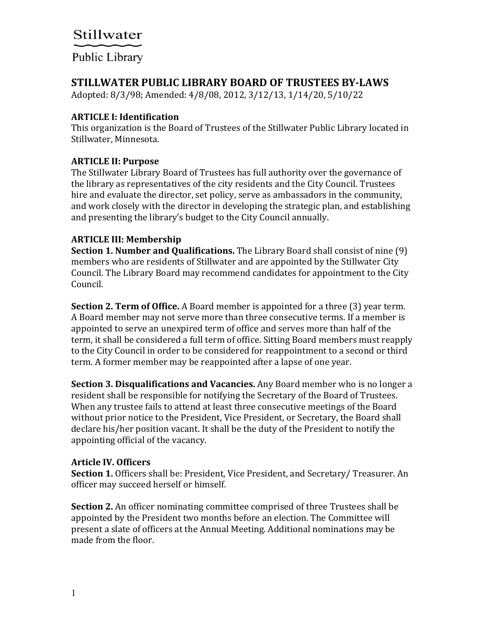## Public Library

### **STILLWATER PUBLIC LIBRARY BOARD OF TRUSTEES BY-LAWS**

Adopted: 8/3/98; Amended: 4/8/08, 2012, 3/12/13, 1/14/20, 5/10/22

### **ARTICLE I: Identification**

This organization is the Board of Trustees of the Stillwater Public Library located in Stillwater, Minnesota.

### **ARTICLE II: Purpose**

The Stillwater Library Board of Trustees has full authority over the governance of the library as representatives of the city residents and the City Council. Trustees hire and evaluate the director, set policy, serve as ambassadors in the community, and work closely with the director in developing the strategic plan, and establishing and presenting the library's budget to the City Council annually.

### **ARTICLE III: Membership**

**Section 1. Number and Qualifications.** The Library Board shall consist of nine (9) members who are residents of Stillwater and are appointed by the Stillwater City Council. The Library Board may recommend candidates for appointment to the City Council.

**Section 2. Term of Office.** A Board member is appointed for a three (3) year term. A Board member may not serve more than three consecutive terms. If a member is appointed to serve an unexpired term of office and serves more than half of the term, it shall be considered a full term of office. Sitting Board members must reapply to the City Council in order to be considered for reappointment to a second or third term. A former member may be reappointed after a lapse of one year.

**Section 3. Disqualifications and Vacancies.** Any Board member who is no longer a resident shall be responsible for notifying the Secretary of the Board of Trustees. When any trustee fails to attend at least three consecutive meetings of the Board without prior notice to the President, Vice President, or Secretary, the Board shall declare his/her position vacant. It shall be the duty of the President to notify the appointing official of the vacancy.

### **Article IV. Officers**

**Section 1.** Officers shall be: President, Vice President, and Secretary/ Treasurer. An officer may succeed herself or himself.

**Section 2.** An officer nominating committee comprised of three Trustees shall be appointed by the President two months before an election. The Committee will present a slate of officers at the Annual Meeting. Additional nominations may be made from the floor.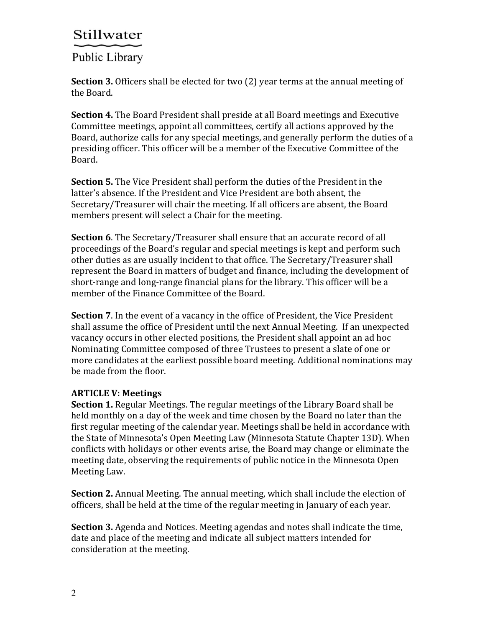Public Library

**Section 3.** Officers shall be elected for two (2) year terms at the annual meeting of the Board.

**Section 4.** The Board President shall preside at all Board meetings and Executive Committee meetings, appoint all committees, certify all actions approved by the Board, authorize calls for any special meetings, and generally perform the duties of a presiding officer. This officer will be a member of the Executive Committee of the Board.

**Section 5.** The Vice President shall perform the duties of the President in the latter's absence. If the President and Vice President are both absent, the Secretary/Treasurer will chair the meeting. If all officers are absent, the Board members present will select a Chair for the meeting.

**Section 6**. The Secretary/Treasurer shall ensure that an accurate record of all proceedings of the Board's regular and special meetings is kept and perform such other duties as are usually incident to that office. The Secretary/Treasurer shall represent the Board in matters of budget and finance, including the development of short-range and long-range financial plans for the library. This officer will be a member of the Finance Committee of the Board.

**Section 7**. In the event of a vacancy in the office of President, the Vice President shall assume the office of President until the next Annual Meeting. If an unexpected vacancy occurs in other elected positions, the President shall appoint an ad hoc Nominating Committee composed of three Trustees to present a slate of one or more candidates at the earliest possible board meeting. Additional nominations may be made from the floor.

### **ARTICLE V: Meetings**

**Section 1.** Regular Meetings. The regular meetings of the Library Board shall be held monthly on a day of the week and time chosen by the Board no later than the first regular meeting of the calendar year. Meetings shall be held in accordance with the State of Minnesota's Open Meeting Law (Minnesota Statute Chapter 13D). When conflicts with holidays or other events arise, the Board may change or eliminate the meeting date, observing the requirements of public notice in the Minnesota Open Meeting Law.

**Section 2.** Annual Meeting. The annual meeting, which shall include the election of officers, shall be held at the time of the regular meeting in January of each year.

**Section 3.** Agenda and Notices. Meeting agendas and notes shall indicate the time, date and place of the meeting and indicate all subject matters intended for consideration at the meeting.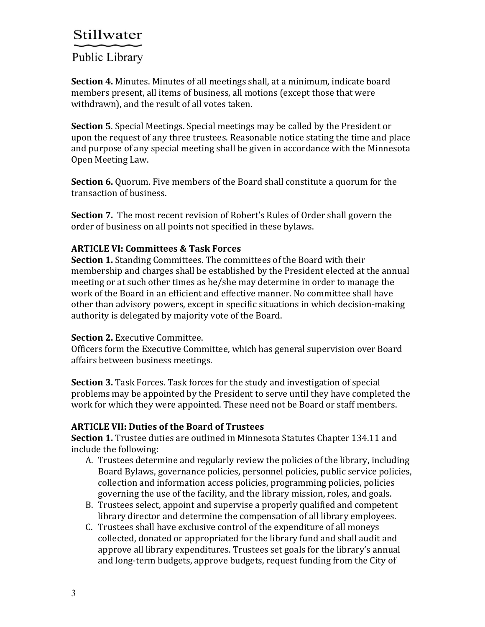## Public Library

**Section 4.** Minutes. Minutes of all meetings shall, at a minimum, indicate board members present, all items of business, all motions (except those that were withdrawn), and the result of all votes taken.

**Section 5**. Special Meetings. Special meetings may be called by the President or upon the request of any three trustees. Reasonable notice stating the time and place and purpose of any special meeting shall be given in accordance with the Minnesota Open Meeting Law.

**Section 6.** Quorum. Five members of the Board shall constitute a quorum for the transaction of business.

**Section 7.** The most recent revision of Robert's Rules of Order shall govern the order of business on all points not specified in these bylaws.

### **ARTICLE VI: Committees & Task Forces**

**Section 1.** Standing Committees. The committees of the Board with their membership and charges shall be established by the President elected at the annual meeting or at such other times as he/she may determine in order to manage the work of the Board in an efficient and effective manner. No committee shall have other than advisory powers, except in specific situations in which decision-making authority is delegated by majority vote of the Board.

### **Section 2.** Executive Committee.

Officers form the Executive Committee, which has general supervision over Board affairs between business meetings.

**Section 3.** Task Forces. Task forces for the study and investigation of special problems may be appointed by the President to serve until they have completed the work for which they were appointed. These need not be Board or staff members.

### **ARTICLE VII: Duties of the Board of Trustees**

**Section 1.** Trustee duties are outlined in Minnesota Statutes Chapter 134.11 and include the following:

- A. Trustees determine and regularly review the policies of the library, including Board Bylaws, governance policies, personnel policies, public service policies, collection and information access policies, programming policies, policies governing the use of the facility, and the library mission, roles, and goals.
- B. Trustees select, appoint and supervise a properly qualified and competent library director and determine the compensation of all library employees.
- C. Trustees shall have exclusive control of the expenditure of all moneys collected, donated or appropriated for the library fund and shall audit and approve all library expenditures. Trustees set goals for the library's annual and long-term budgets, approve budgets, request funding from the City of